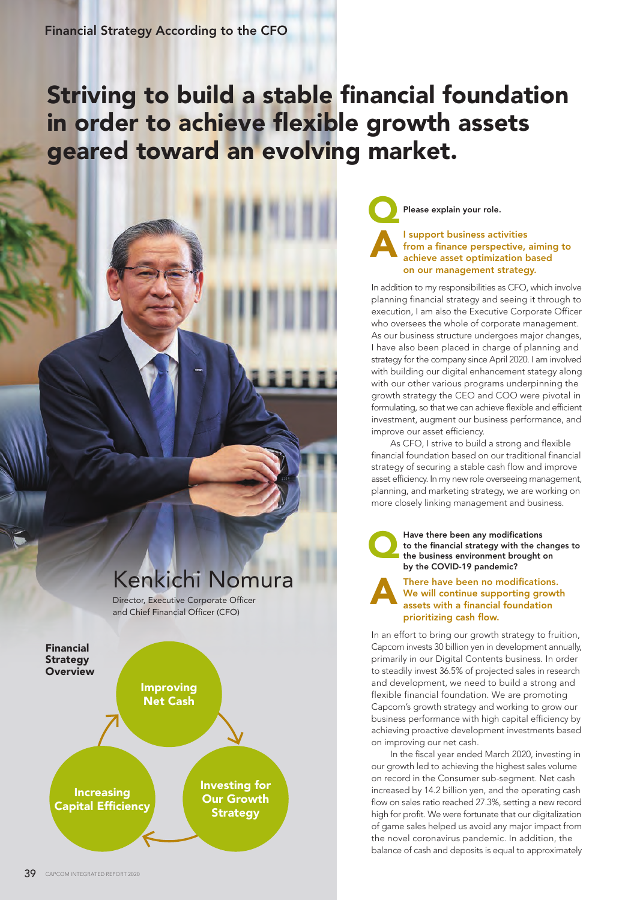# Striving to build a stable financial foundation in order to achieve flexible growth assets geared toward an evolving market.

## Kenkichi Nomura

Director, Executive Corporate Officer and Chief Financial Officer (CFO)

Financial **Strategy Overview** 



Please explain your role.

#### I support business activities from a finance perspective, aiming to achieve asset optimization based on our management strategy. A

In addition to my responsibilities as CFO, which involve planning financial strategy and seeing it through to execution, I am also the Executive Corporate Officer who oversees the whole of corporate management. As our business structure undergoes major changes, I have also been placed in charge of planning and strategy for the company since April 2020. I am involved with building our digital enhancement stategy along with our other various programs underpinning the growth strategy the CEO and COO were pivotal in formulating, so that we can achieve flexible and efficient investment, augment our business performance, and improve our asset efficiency.

 As CFO, I strive to build a strong and flexible financial foundation based on our traditional financial strategy of securing a stable cash flow and improve asset efficiency. In my new role overseeing management, planning, and marketing strategy, we are working on more closely linking management and business.

Have there been any modifications<br>to the financial strategy with the chan<br>the business environment brought on<br>but he COVD 10 nondaminal to the financial strategy with the changes to by the COVID-19 pandemic?

#### There have been no modifications. We will continue supporting growth assets with a financial foundation prioritizing cash flow. A

In an effort to bring our growth strategy to fruition, Capcom invests 30 billion yen in development annually, primarily in our Digital Contents business. In order to steadily invest 36.5% of projected sales in research and development, we need to build a strong and flexible financial foundation. We are promoting Capcom's growth strategy and working to grow our business performance with high capital efficiency by achieving proactive development investments based on improving our net cash.

 In the fiscal year ended March 2020, investing in our growth led to achieving the highest sales volume on record in the Consumer sub-segment. Net cash increased by 14.2 billion yen, and the operating cash flow on sales ratio reached 27.3%, setting a new record high for profit. We were fortunate that our digitalization of game sales helped us avoid any major impact from the novel coronavirus pandemic. In addition, the balance of cash and deposits is equal to approximately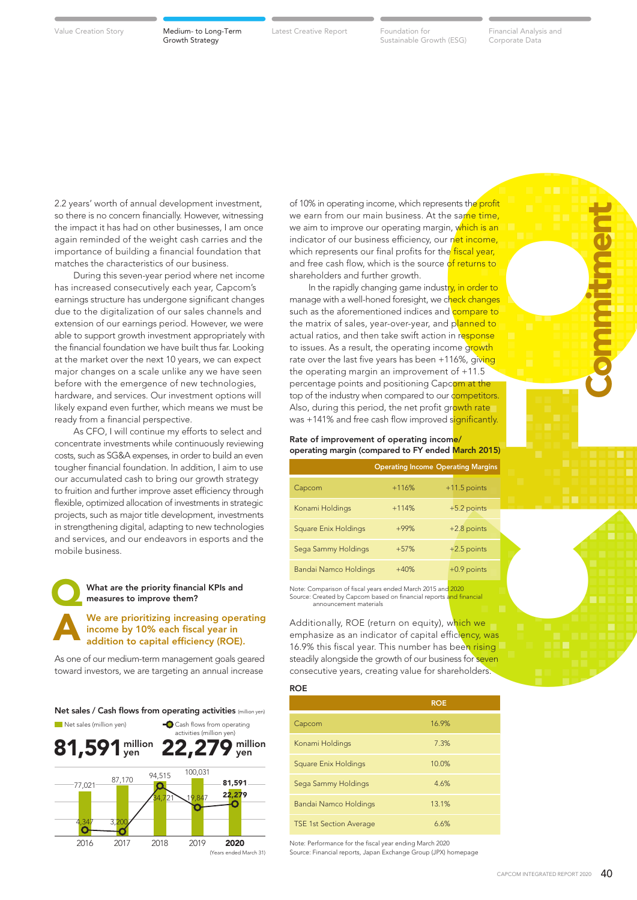Growth Strategy

Value Creation Story **Medium- to Long-Term** Latest Creative Report Foundation for

Sustainable Growth (ESG)

Latest Creative Report Foundation for Financial Analysis and Corporate Data

**Commitment** 

2.2 years' worth of annual development investment, so there is no concern financially. However, witnessing the impact it has had on other businesses, I am once again reminded of the weight cash carries and the importance of building a financial foundation that matches the characteristics of our business.

 During this seven-year period where net income has increased consecutively each year, Capcom's earnings structure has undergone significant changes due to the digitalization of our sales channels and extension of our earnings period. However, we were able to support growth investment appropriately with the financial foundation we have built thus far. Looking at the market over the next 10 years, we can expect major changes on a scale unlike any we have seen before with the emergence of new technologies, hardware, and services. Our investment options will likely expand even further, which means we must be ready from a financial perspective.

 As CFO, I will continue my efforts to select and concentrate investments while continuously reviewing costs, such as SG&A expenses, in order to build an even tougher financial foundation. In addition, I aim to use our accumulated cash to bring our growth strategy to fruition and further improve asset efficiency through flexible, optimized allocation of investments in strategic projects, such as major title development, investments in strengthening digital, adapting to new technologies and services, and our endeavors in esports and the mobile business.



#### What are the priority financial KPIs and measures to improve them?

We are prioritizing increasing operating income by 10% each fiscal year in addition to capital efficiency (ROE).

As one of our medium-term management goals geared toward investors, we are targeting an annual increase



of 10% in operating income, which represents the profit we earn from our main business. At the same time, we aim to improve our operating margin, which is an indicator of our business efficiency, our net income, which represents our final profits for the fiscal year, and free cash flow, which is the source of returns to shareholders and further growth.

ents the profit<br>
e same time,<br>
, which is an<br>
net income,<br>
e fiscal year,<br>
for returns to<br>
for returns to<br>
y, in order to<br>
to heck changes<br>
dompare to<br>
planned to<br>
in response<br>
me growth<br>
of  $\frac{15}{(20)}$ <br>
compare to<br>
of  $\$ In the rapidly changing game industry, in order to manage with a well-honed foresight, we check changes such as the aforementioned indices and compare to the matrix of sales, year-over-year, and planned to actual ratios, and then take swift action in response to issues. As a result, the operating income growth rate over the last five years has been +116%, giving the operating margin an improvement of +11.5 percentage points and positioning Capcom at the top of the industry when compared to our competitors. Also, during this period, the net profit growth rate was +141% and free cash flow improved significantly.

#### Rate of improvement of operating income/ operating margin (compared to FY ended March 2015)

#### **ROE**

|                                | <b>ROE</b> |
|--------------------------------|------------|
| Capcom                         | 16.9%      |
| Konami Holdings                | 7.3%       |
| <b>Square Enix Holdings</b>    | 10.0%      |
| Sega Sammy Holdings            | 4.6%       |
| Bandai Namco Holdings          | 13.1%      |
| <b>TSE 1st Section Average</b> | 6.6%       |

Note: Performance for the fiscal year ending March 2020 Source: Financial reports, Japan Exchange Group (JPX) homepage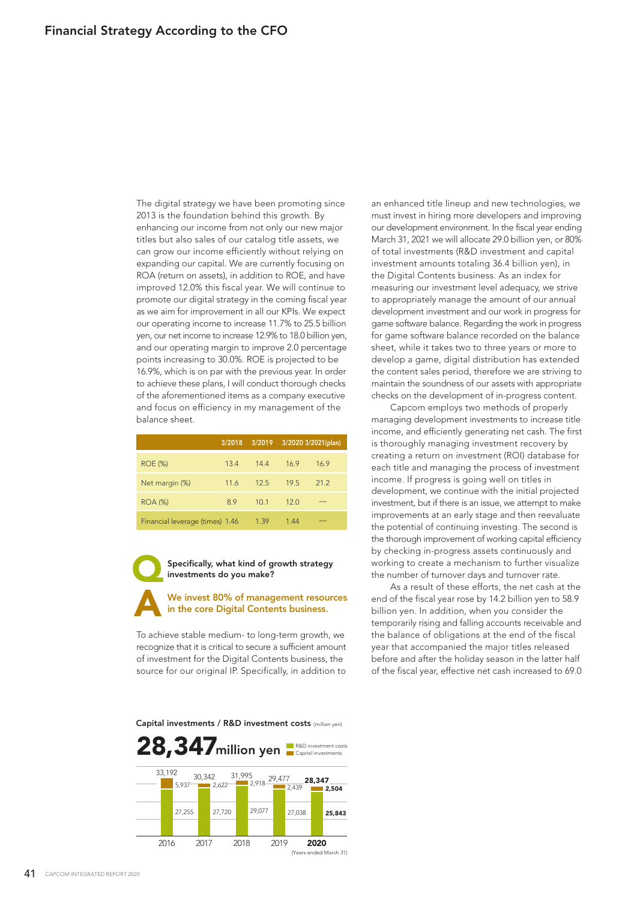The digital strategy we have been promoting since 2013 is the foundation behind this growth. By enhancing our income from not only our new major titles but also sales of our catalog title assets, we can grow our income efficiently without relying on expanding our capital. We are currently focusing on ROA (return on assets), in addition to ROE, and have improved 12.0% this fiscal year. We will continue to promote our digital strategy in the coming fiscal year as we aim for improvement in all our KPIs. We expect our operating income to increase 11.7% to 25.5 billion yen, our net income to increase 12.9% to 18.0 billion yen, and our operating margin to improve 2.0 percentage points increasing to 30.0%. ROE is projected to be 16.9%, which is on par with the previous year. In order to achieve these plans, I will conduct thorough checks of the aforementioned items as a company executive and focus on efficiency in my management of the balance sheet.

|                                 | 3/2018 | 3/2019          | 3/2020 3/2021(plan) |      |
|---------------------------------|--------|-----------------|---------------------|------|
| <b>ROE (%)</b>                  | 13.4   | 144             | 16.9                | 16.9 |
| Net margin (%)                  | 11.6   | 125             | 195                 | 212  |
| <b>ROA (%)</b>                  | 8.9    | 10 <sub>1</sub> | 12.0                |      |
| Financial leverage (times) 1.46 |        | 1.39            | 1.44                |      |

Specifically, what kind of growth strategy investments do you make?

We invest 80% of management resources in the core Digital Contents business. A

To achieve stable medium- to long-term growth, we recognize that it is critical to secure a sufficient amount of investment for the Digital Contents business, the source for our original IP. Specifically, in addition to

Capital investments / R&D investment costs (million yen)



an enhanced title lineup and new technologies, we must invest in hiring more developers and improving our development environment. In the fiscal year ending March 31, 2021 we will allocate 29.0 billion yen, or 80% of total investments (R&D investment and capital investment amounts totaling 36.4 billion yen), in the Digital Contents business. As an index for measuring our investment level adequacy, we strive to appropriately manage the amount of our annual development investment and our work in progress for game software balance. Regarding the work in progress for game software balance recorded on the balance sheet, while it takes two to three years or more to develop a game, digital distribution has extended the content sales period, therefore we are striving to maintain the soundness of our assets with appropriate checks on the development of in-progress content.

 Capcom employs two methods of properly managing development investments to increase title income, and efficiently generating net cash. The first is thoroughly managing investment recovery by creating a return on investment (ROI) database for each title and managing the process of investment income. If progress is going well on titles in development, we continue with the initial projected investment, but if there is an issue, we attempt to make improvements at an early stage and then reevaluate the potential of continuing investing. The second is the thorough improvement of working capital efficiency by checking in-progress assets continuously and working to create a mechanism to further visualize the number of turnover days and turnover rate.

 As a result of these efforts, the net cash at the end of the fiscal year rose by 14.2 billion yen to 58.9 billion yen. In addition, when you consider the temporarily rising and falling accounts receivable and the balance of obligations at the end of the fiscal year that accompanied the major titles released before and after the holiday season in the latter half of the fiscal year, effective net cash increased to 69.0